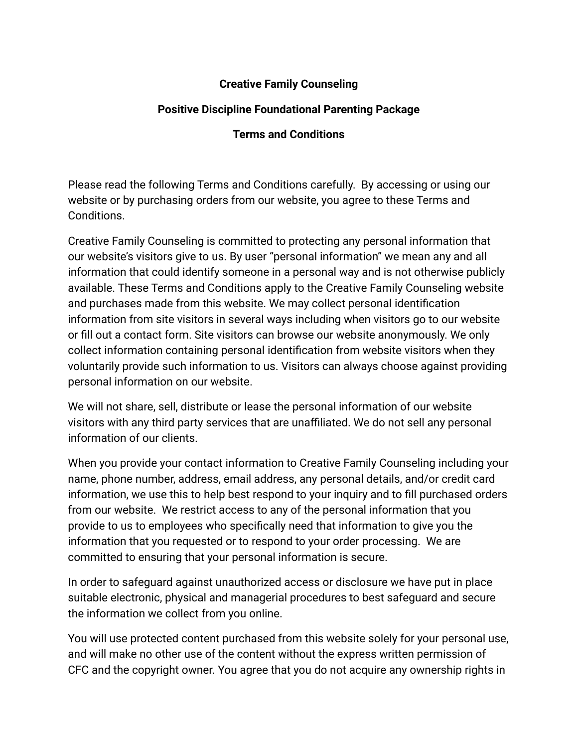## **Creative Family Counseling**

## **Positive Discipline Foundational Parenting Package**

## **Terms and Conditions**

Please read the following Terms and Conditions carefully. By accessing or using our website or by purchasing orders from our website, you agree to these Terms and Conditions.

Creative Family Counseling is committed to protecting any personal information that our website's visitors give to us. By user "personal information" we mean any and all information that could identify someone in a personal way and is not otherwise publicly available. These Terms and Conditions apply to the Creative Family Counseling website and purchases made from this website. We may collect personal identification information from site visitors in several ways including when visitors go to our website or fill out a contact form. Site visitors can browse our website anonymously. We only collect information containing personal identification from website visitors when they voluntarily provide such information to us. Visitors can always choose against providing personal information on our website.

We will not share, sell, distribute or lease the personal information of our website visitors with any third party services that are unaffiliated. We do not sell any personal information of our clients.

When you provide your contact information to Creative Family Counseling including your name, phone number, address, email address, any personal details, and/or credit card information, we use this to help best respond to your inquiry and to fill purchased orders from our website. We restrict access to any of the personal information that you provide to us to employees who specifically need that information to give you the information that you requested or to respond to your order processing. We are committed to ensuring that your personal information is secure.

In order to safeguard against unauthorized access or disclosure we have put in place suitable electronic, physical and managerial procedures to best safeguard and secure the information we collect from you online.

You will use protected content purchased from this website solely for your personal use, and will make no other use of the content without the express written permission of CFC and the copyright owner. You agree that you do not acquire any ownership rights in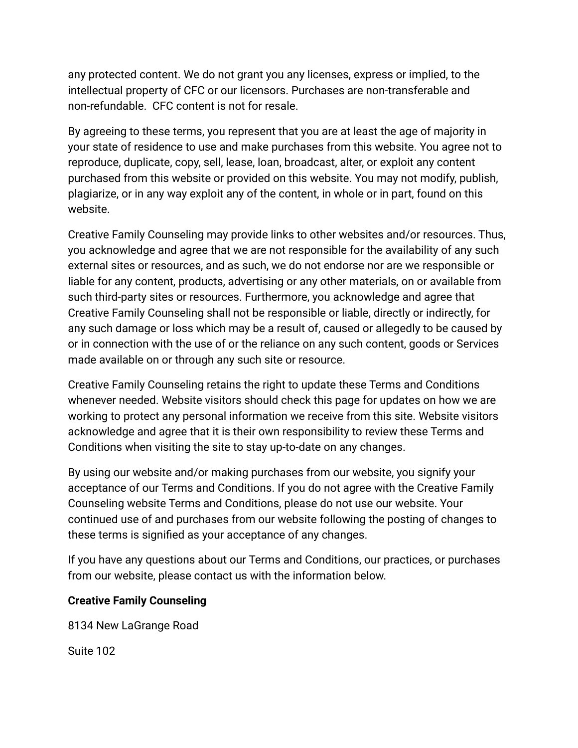any protected content. We do not grant you any licenses, express or implied, to the intellectual property of CFC or our licensors. Purchases are non-transferable and non-refundable. CFC content is not for resale.

By agreeing to these terms, you represent that you are at least the age of majority in your state of residence to use and make purchases from this website. You agree not to reproduce, duplicate, copy, sell, lease, loan, broadcast, alter, or exploit any content purchased from this website or provided on this website. You may not modify, publish, plagiarize, or in any way exploit any of the content, in whole or in part, found on this website.

Creative Family Counseling may provide links to other websites and/or resources. Thus, you acknowledge and agree that we are not responsible for the availability of any such external sites or resources, and as such, we do not endorse nor are we responsible or liable for any content, products, advertising or any other materials, on or available from such third-party sites or resources. Furthermore, you acknowledge and agree that Creative Family Counseling shall not be responsible or liable, directly or indirectly, for any such damage or loss which may be a result of, caused or allegedly to be caused by or in connection with the use of or the reliance on any such content, goods or Services made available on or through any such site or resource.

Creative Family Counseling retains the right to update these Terms and Conditions whenever needed. Website visitors should check this page for updates on how we are working to protect any personal information we receive from this site. Website visitors acknowledge and agree that it is their own responsibility to review these Terms and Conditions when visiting the site to stay up-to-date on any changes.

By using our website and/or making purchases from our website, you signify your acceptance of our Terms and Conditions. If you do not agree with the Creative Family Counseling website Terms and Conditions, please do not use our website. Your continued use of and purchases from our website following the posting of changes to these terms is signified as your acceptance of any changes.

If you have any questions about our Terms and Conditions, our practices, or purchases from our website, please contact us with the information below.

## **Creative Family Counseling**

8134 New LaGrange Road

Suite 102